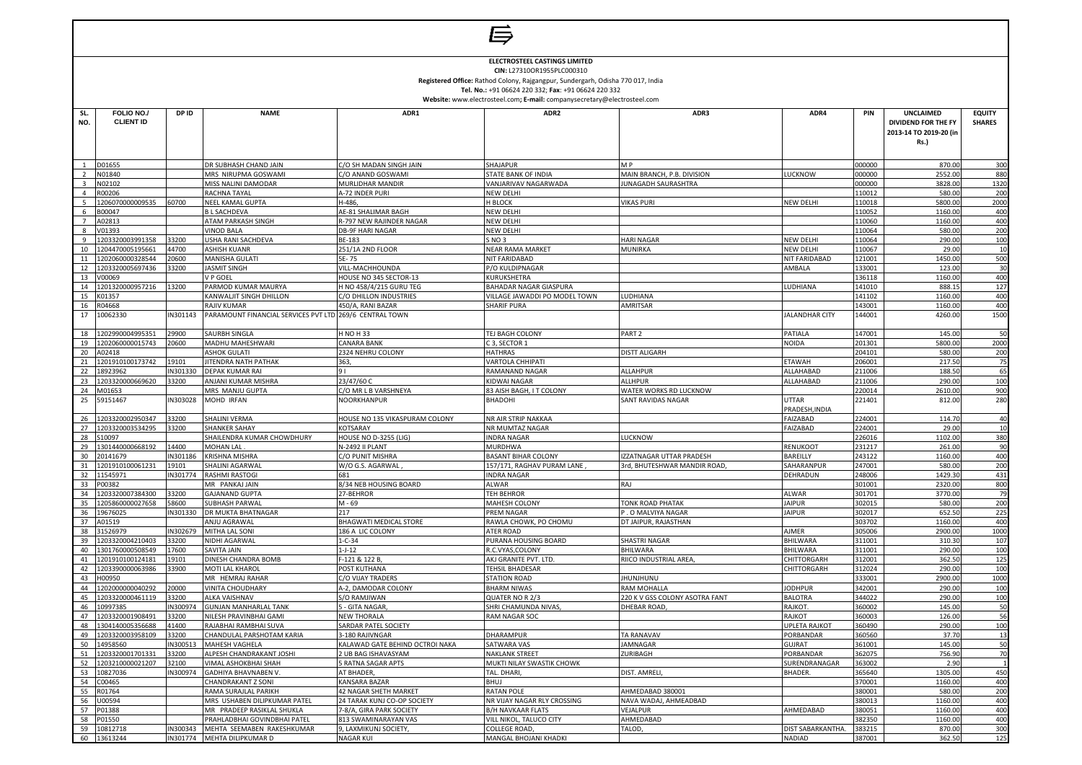|                         | ELECTROSTEEL CASTINGS LIMITED<br>CIN: L27310OR1955PLC000310<br>Registered Office: Rathod Colony, Rajgangpur, Sundergarh, Odisha 770 017, India<br>Tel. No.: +91 06624 220 332; Fax: +91 06624 220 332<br>Website: www.electrosteel.com; E-mail: companysecretary@electrosteel.com |                   |                                                            |                                                        |                                                     |                                           |                            |                  |                                                                           |                                    |  |
|-------------------------|-----------------------------------------------------------------------------------------------------------------------------------------------------------------------------------------------------------------------------------------------------------------------------------|-------------------|------------------------------------------------------------|--------------------------------------------------------|-----------------------------------------------------|-------------------------------------------|----------------------------|------------------|---------------------------------------------------------------------------|------------------------------------|--|
|                         | FOLIO NO./                                                                                                                                                                                                                                                                        |                   | <b>NAME</b>                                                | ADR1                                                   | ADR2                                                | ADR3                                      | ADR4                       |                  |                                                                           |                                    |  |
| SL.<br>NO.              | <b>CLIENT ID</b>                                                                                                                                                                                                                                                                  | DP ID             |                                                            |                                                        |                                                     |                                           |                            | PIN              | UNCLAIMED<br>DIVIDEND FOR THE FY<br>2013-14 TO 2019-20 (in<br><b>Rs.)</b> | <b>EQUITY</b><br><b>SHARES</b>     |  |
| 1                       | D01655                                                                                                                                                                                                                                                                            |                   | DR SUBHASH CHAND JAIN                                      | C/O SH MADAN SINGH JAIN                                | SHAJAPUR                                            | M P                                       |                            | 000000           | 870.00                                                                    | 300                                |  |
| $\overline{2}$          | N01840                                                                                                                                                                                                                                                                            |                   | MRS NIRUPMA GOSWAMI                                        | C/O ANAND GOSWAMI                                      | STATE BANK OF INDIA                                 | MAIN BRANCH, P.B. DIVISION                | LUCKNOW                    | 000000           | 2552.00                                                                   | 880                                |  |
| $\overline{\mathbf{3}}$ | N02102                                                                                                                                                                                                                                                                            |                   | MISS NALINI DAMODAR                                        | MURLIDHAR MANDIR                                       | VANJARIVAV NAGARWADA                                | <b>IUNAGADH SAURASHTRA</b>                |                            | 000000           | 3828.0                                                                    | 1320                               |  |
| $\overline{4}$<br>5     | R00206<br>1206070000009535                                                                                                                                                                                                                                                        | 60700             | <b>RACHNA TAYAL</b><br><b>NEEL KAMAL GUPTA</b>             | A-72 INDER PURI<br>H-486,                              | <b>NEW DELHI</b><br>H BLOCK                         | VIKAS PURI                                | NEW DELHI                  | 110012<br>110018 | 580.0<br>5800.0                                                           | 200<br>2000                        |  |
| 6                       | B00047                                                                                                                                                                                                                                                                            |                   | <b>BL SACHDEVA</b>                                         | AE-81 SHALIMAR BAGH                                    | <b>NEW DELHI</b>                                    |                                           |                            | 110052           | 1160.0                                                                    | 40C                                |  |
| $\overline{7}$          | A02813                                                                                                                                                                                                                                                                            |                   | ATAM PARKASH SINGH                                         | R-797 NEW RAJINDER NAGAR                               | <b>NEW DELHI</b>                                    |                                           |                            | 110060           | 1160.0                                                                    | 40 <sub>C</sub>                    |  |
| 8                       | /01393                                                                                                                                                                                                                                                                            |                   | <b>VINOD BALA</b>                                          | DB-9F HARI NAGAR                                       | <b>NEW DELHI</b>                                    |                                           |                            | 110064           | 580.0                                                                     | 200                                |  |
| 9                       | 1203320003991358                                                                                                                                                                                                                                                                  | 33200             | USHA RANI SACHDEVA                                         | BE-183                                                 | SNO <sub>3</sub>                                    | <b>HARI NAGAR</b>                         | NEW DELHI                  | 110064           | 290.0                                                                     | 100                                |  |
| 10                      | 1204470005195661                                                                                                                                                                                                                                                                  | 44700             | <b>ASHISH KUANR</b>                                        | 251/1A 2ND FLOOR                                       | <b>NEAR RAMA MARKET</b>                             | MUNIRKA                                   | <b>NEW DELHI</b>           | 110067           | 29.00                                                                     | 10                                 |  |
| 11<br>12                | 1202060000328544<br>1203320005697436                                                                                                                                                                                                                                              | 20600<br>33200    | MANISHA GULATI<br><b>JASMIT SINGH</b>                      | 5E-75<br>VILL-MACHHOUNDA                               | <b>NIT FARIDABAD</b><br>P/O KULDIPNAGAR             |                                           | NIT FARIDABAD<br>AMBALA    | 121001<br>133001 | 1450.0<br>123.00                                                          | 500<br>30                          |  |
| 13                      | V00069                                                                                                                                                                                                                                                                            |                   | V P GOEL                                                   | HOUSE NO 345 SECTOR-13                                 | KURUKSHETRA                                         |                                           |                            | 136118           | 1160.0                                                                    | 40 <sub>C</sub>                    |  |
| 14                      | 1201320000957216                                                                                                                                                                                                                                                                  | 13200             | PARMOD KUMAR MAURYA                                        | H NO 458/4/215 GURU TEG                                | <b>BAHADAR NAGAR GIASPURA</b>                       |                                           | LUDHIANA                   | 141010           | 888.1                                                                     | 127                                |  |
| 15                      | K01357                                                                                                                                                                                                                                                                            |                   | KANWALIIT SINGH DHILLON                                    | C/O DHILLON INDUSTRIES                                 | VILLAGE JAWADDI PO MODEL TOWN                       | LUDHIANA                                  |                            | 141102           | 1160.0                                                                    | 40 <sub>C</sub>                    |  |
| 16                      | R04668                                                                                                                                                                                                                                                                            |                   | RAJIV KUMAR                                                | 450/A, RANI BAZAR                                      | <b>SHARIF PURA</b>                                  | AMRITSAR                                  |                            | 143001           | 1160.0                                                                    | 40C                                |  |
| 17                      | 10062330                                                                                                                                                                                                                                                                          | IN301143          | PARAMOUNT FINANCIAL SERVICES PVT LTD 269/6 CENTRAL TOWN    |                                                        |                                                     |                                           | <b>JALANDHAR CITY</b>      | 144001           | 4260.00                                                                   | 1500                               |  |
| 18                      | 1202990004995351                                                                                                                                                                                                                                                                  | 29900             | SAURBH SINGLA                                              | H NO H 33                                              | TEJ BAGH COLONY                                     | PART <sub>2</sub>                         | PATIALA                    | 147001           | 145.0                                                                     | 50                                 |  |
| 19                      | 1202060000015743                                                                                                                                                                                                                                                                  | 20600             | MADHU MAHESHWARI                                           | <b>CANARA BANK</b>                                     | C 3, SECTOR 1                                       |                                           | NOIDA                      | 201301           | 5800.0                                                                    | 2000                               |  |
| 20                      | A02418                                                                                                                                                                                                                                                                            |                   | <b>ASHOK GULATI</b>                                        | 2324 NEHRU COLONY                                      | <b>HATHRAS</b>                                      | DISTT ALIGARH                             |                            | 204101           | 580.0                                                                     | 200                                |  |
| 21<br>22                | 1201910100173742<br>18923962                                                                                                                                                                                                                                                      | 19101<br>IN301330 | JITENDRA NATH PATHAK<br><b>DEPAK KUMAR RAI</b>             | 363,<br>91                                             | <b>VARTOLA CHHIPATI</b><br>RAMANAND NAGAR           | ALLAHPUR                                  | <b>ETAWAH</b><br>ALLAHABAD | 206001<br>211006 | 217.5<br>188.5                                                            | 75<br>65                           |  |
| 23                      | 1203320000669620                                                                                                                                                                                                                                                                  | 33200             | ANJANI KUMAR MISHRA                                        | 23/47/60 C                                             | KIDWAI NAGAR                                        | ALLHPUR                                   | ALLAHABAD                  | 211006           | 290.0                                                                     | 100                                |  |
| 24                      | M01653                                                                                                                                                                                                                                                                            |                   | MRS MANJU GUPTA                                            | C/O MR L B VARSHNEYA                                   | 83 AISH BAGH, I T COLONY                            | WATER WORKS RD LUCKNOW                    |                            | 220014           | 2610.0                                                                    | 90C                                |  |
| 25                      | 59151467                                                                                                                                                                                                                                                                          | IN303028          | MOHD IRFAN                                                 | NOORKHANPUR                                            | <b>BHADOHI</b>                                      | SANT RAVIDAS NAGAR                        | UTTAR<br>PRADESH, INDIA    | 221401           | 812.00                                                                    | 280                                |  |
|                         | 26 1203320002950347                                                                                                                                                                                                                                                               | 33200             | SHALINI VERMA                                              | HOUSE NO 135 VIKASPURAM COLONY                         | NR AIR STRIP NAKKAA                                 |                                           | FAIZABAD                   | 224001           | 114.7                                                                     | 40                                 |  |
|                         | 27 1203320003534295                                                                                                                                                                                                                                                               | 33200             | <b>SHANKER SAHAY</b>                                       | KOTSARAY                                               | NR MUMTAZ NAGAR                                     |                                           | FAIZABAD                   | 224001           | 29.00                                                                     | 10                                 |  |
|                         | 28 S10097                                                                                                                                                                                                                                                                         |                   | SHAILENDRA KUMAR CHOWDHURY                                 | <b>HOUSE NO D-3255 (LIG)</b>                           | <b>INDRA NAGAR</b>                                  | LUCKNOW                                   |                            | 226016           | 1102.00                                                                   | 380                                |  |
| 29<br>30                | 1301440000668192<br>20141679                                                                                                                                                                                                                                                      | 14400<br>IN301186 | MOHAN LAL.<br><b>KRISHNA MISHRA</b>                        | N-2492 II PLANT<br>C/O PUNIT MISHRA                    | <b>MURDHWA</b><br><b>BASANT BIHAR COLONY</b>        | <b>ZZATNAGAR UTTAR PRADESH</b>            | RENUKOOT<br>BAREILLY       | 231217<br>243122 | 261.0<br>1160.0                                                           | 90<br>40 <sub>C</sub>              |  |
| 31                      | 1201910100061231                                                                                                                                                                                                                                                                  | 19101             | SHALINI AGARWAI                                            | W/O G.S. AGARWAL                                       | 157/171, RAGHAV PURAM LANE                          | 3rd, BHUTESHWAR MANDIR ROAD               | SAHARANPUF                 | 247001           | 580.0                                                                     | 200                                |  |
| 32                      | 11545971                                                                                                                                                                                                                                                                          | IN301774          | <b>RASHMI RASTOGI</b>                                      |                                                        | <b>INDRA NAGAR</b>                                  |                                           | DEHRADUN                   | 248006           | 1429.3                                                                    | 431                                |  |
| 33                      | P00382                                                                                                                                                                                                                                                                            |                   | MR PANKAJ JAIN                                             | 8/34 NEB HOUSING BOARD                                 | ALWAR                                               | RAJ                                       |                            | 301001           | 2320.00                                                                   | 800                                |  |
| 34                      | 1203320007384300                                                                                                                                                                                                                                                                  | 33200             | <b>GAJANAND GUPTA</b>                                      | 27-BEHROR                                              | <b>TEH BEHROR</b>                                   |                                           | <b>ALWAR</b>               | 301701           | 3770.0                                                                    | 79                                 |  |
| 35                      | 1205860000027658                                                                                                                                                                                                                                                                  | 58600             | <b>SUBHASH PARWAL</b>                                      | M - 69                                                 | MAHESH COLONY                                       | <b>TONK ROAD PHATAK</b>                   | <b>JAIPUR</b>              | 302015           | 580.0                                                                     | 200                                |  |
| 36<br>37                | 19676025<br>A01519                                                                                                                                                                                                                                                                | IN301330          | DR MUKTA BHATNAGAR<br>ANJU AGRAWAL                         | 217<br>BHAGWATI MEDICAL STORE                          | <b>PREM NAGAR</b><br>RAWLA CHOWK, PO CHOMU          | P.O MALVIYA NAGAR<br>DT JAIPUR, RAJASTHAN | <b>JAIPUR</b>              | 302017<br>303702 | 652.5<br>1160.0                                                           | 225<br>40 <sub>C</sub>             |  |
| 38                      | 31526979                                                                                                                                                                                                                                                                          | IN302679          | MITHA LAL SONI                                             | 186 A LIC COLONY                                       | <b>ATER ROAD</b>                                    |                                           | <b>AJMER</b>               | 305006           | 2900.0                                                                    | 1000                               |  |
| 39                      | 1203320004210403                                                                                                                                                                                                                                                                  | 33200             | <b>NIDHI AGARWAL</b>                                       | $L-C-34$                                               | PURANA HOUSING BOARD                                | <b>SHASTRI NAGAR</b>                      | BHILWARA                   | 311001           | 310.3                                                                     | 107                                |  |
| 40                      | 1301760000508549                                                                                                                                                                                                                                                                  | 17600             | SAVITA JAIN                                                | l-J-12                                                 | R.C.VYAS, COLONY                                    | BHILWARA                                  | BHILWARA                   | 311001           | 290.00                                                                    | 100                                |  |
| 41                      | 1201910100124181                                                                                                                                                                                                                                                                  | 19101             | DINESH CHANDRA BOMB                                        | $-121$ & 122 B,                                        | AKJ GRANITE PVT. LTD.                               | RIICO INDUSTRIAL AREA                     | CHITTORGARH                | 312001           | 362.5                                                                     | 125                                |  |
| 42                      | 1203390000063986                                                                                                                                                                                                                                                                  | 33900             | MOTI LAL KHAROL                                            | <b>POST KUTHANA</b>                                    | <b>TEHSIL BHADESAR</b>                              |                                           | CHITTORGARH                | 312024           | 290.0                                                                     | 100                                |  |
| 43                      | H00950<br>44 1202000000040292                                                                                                                                                                                                                                                     | 20000             | MR HEMRAJ RAHAR<br><b>VINITA CHOUDHARY</b>                 | C/O VIJAY TRADERS<br>A-2, DAMODAR COLONY               | <b>STATION ROAD</b><br><b>BHARM NIWAS</b>           | <b>IHUNJHUNU</b><br>RAM MOHALLA           | <b>JODHPUR</b>             | 333001<br>342001 | 2900.0<br>290.00                                                          | 1000<br>100                        |  |
|                         | 45 1203320000461119                                                                                                                                                                                                                                                               | 33200             | <b>ALKA VAISHNAV</b>                                       | S/O RAMJIWAN                                           | QUATER NO R 2/3                                     | 220 K V GSS COLONY ASOTRA FANT            | <b>BALOTRA</b>             | 344022           | 290.00                                                                    | 100                                |  |
|                         | 46 10997385                                                                                                                                                                                                                                                                       | IN300974          | <b>GUNJAN MANHARLAL TANK</b>                               | 5 - GITA NAGAR.                                        | SHRI CHAMUNDA NIVAS,                                | DHEBAR ROAD,                              | RAJKOT.                    | 360002           | 145.00                                                                    | 50                                 |  |
| 47                      | 1203320001908491                                                                                                                                                                                                                                                                  | 33200             | NILESH PRAVINBHAI GAMI                                     | <b>NEW THORALA</b>                                     | <b>RAM NAGAR SOC</b>                                |                                           | RAJKOT                     | 360003           | 126.00                                                                    | 56                                 |  |
| 48                      | 1304140005356688                                                                                                                                                                                                                                                                  | 41400             | RAJABHAI RAMBHAI SUVA                                      | SARDAR PATEL SOCIETY                                   |                                                     |                                           | <b>UPLETA RAJKOT</b>       | 360490           | 290.00                                                                    | 100                                |  |
| 49                      | 1203320003958109                                                                                                                                                                                                                                                                  | 33200             | CHANDULAL PARSHOTAM KARIA                                  | 3-180 RAJIVNGAR                                        | <b>DHARAMPUR</b>                                    | <b>TA RANAVAV</b>                         | PORBANDAR                  | 360560           | 37.70                                                                     | 13                                 |  |
| 50<br>51                | 14958560<br>1203320001701331                                                                                                                                                                                                                                                      | IN300513<br>33200 | MAHESH VAGHELA<br>ALPESH CHANDRAKANT JOSHI                 | KALAWAD GATE BEHIND OCTROI NAKA<br>2 UB BAG ISHAVASYAM | <b>SATWARA VAS</b><br><b>NAKLANK STREET</b>         | <b>JAMNAGAR</b><br>ZURIBAGH               | <b>GUJRAT</b><br>PORBANDAR | 361001<br>362075 | 145.00<br>756.90                                                          | 50<br>70                           |  |
| 52                      | 1203210000021207                                                                                                                                                                                                                                                                  | 32100             | VIMAL ASHOKBHAI SHAH                                       | 5 RATNA SAGAR APTS                                     | MUKTI NILAY SWASTIK CHOWK                           |                                           | SURENDRANAGAR              | 363002           | 2.90                                                                      |                                    |  |
|                         | 53 10827036                                                                                                                                                                                                                                                                       | IN300974          | <b>GADHIYA BHAVNABEN V.</b>                                | AT BHADER,                                             | TAL. DHARI.                                         | DIST. AMRELI,                             | BHADER.                    | 365640           | 1305.00                                                                   | 45C                                |  |
|                         | 54 C00465                                                                                                                                                                                                                                                                         |                   | <b>CHANDRAKANT Z SONI</b>                                  | KANSARA BAZAR                                          | BHUJ                                                |                                           |                            | 370001           | 1160.00                                                                   | 40 <sub>C</sub>                    |  |
|                         | 55 R01764                                                                                                                                                                                                                                                                         |                   | RAMA SURAJLAL PARIKH                                       | <b>42 NAGAR SHETH MARKET</b>                           | <b>RATAN POLE</b>                                   | AHMEDABAD 380001                          |                            | 380001           | 580.0                                                                     | 200                                |  |
| 56                      | J00594                                                                                                                                                                                                                                                                            |                   | MRS USHABEN DILIPKUMAR PATEL                               | 24 TARAK KUNJ CO-OP SOCIETY                            | NR VIJAY NAGAR RLY CROSSING                         | NAVA WADAJ, AHMEADBAD                     |                            | 380013           | 1160.0                                                                    | 40 <sub>C</sub>                    |  |
| 57<br>58                | P01388<br>P01550                                                                                                                                                                                                                                                                  |                   | MR PRADEEP RASIKLAL SHUKLA<br>PRAHLADBHAI GOVINDBHAI PATEL | 7-8/A, GIRA PARK SOCIETY<br>813 SWAMINARAYAN VAS       | <b>B/H NAVKAAR FLATS</b><br>VILL NIKOL, TALUCO CITY | VEJALPUR<br>AHMEDABAD                     | AHMEDABAD                  | 380051<br>382350 | 1160.00<br>1160.00                                                        | 40 <sub>C</sub><br>40 <sub>C</sub> |  |
| 59                      | 10812718                                                                                                                                                                                                                                                                          | IN300343          | MEHTA SEEMABEN RAKESHKUMAR                                 | 9, LAXMIKUNJ SOCIETY,                                  | COLLEGE ROAD,                                       | TALOD,                                    | DIST SABARKANTHA.          | 383215           | 870.00                                                                    | 300                                |  |
|                         | 60 13613244                                                                                                                                                                                                                                                                       |                   | IN301774 MEHTA DILIPKUMAR D                                | <b>NAGAR KUI</b>                                       | MANGAL BHOJANI KHADKI                               |                                           | NADIAD                     | 387001           | 362.50                                                                    | 125                                |  |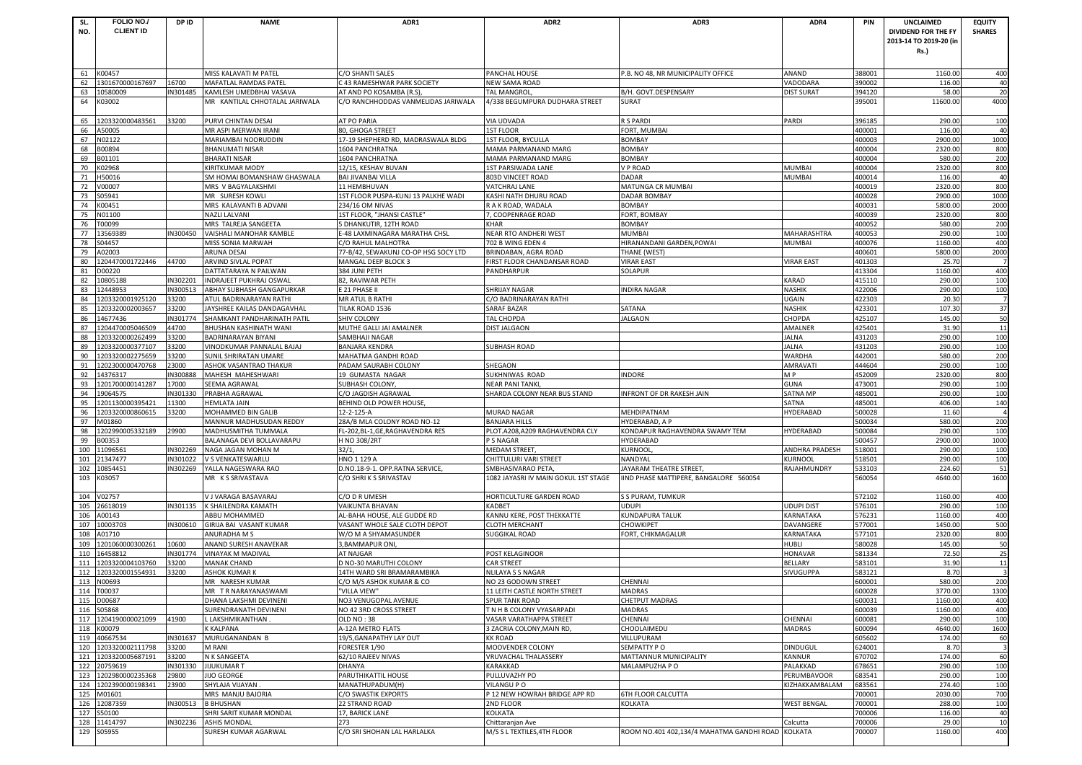| SL.        | FOLIO NO./                         | DP ID                | <b>NAME</b>                                          | ADR1                                                  | ADR <sub>2</sub>                                            | ADR3                                      | ADR4                                    | PIN              | <b>UNCLAIMED</b>       | <b>EQUITY</b>  |
|------------|------------------------------------|----------------------|------------------------------------------------------|-------------------------------------------------------|-------------------------------------------------------------|-------------------------------------------|-----------------------------------------|------------------|------------------------|----------------|
| NO.        | <b>CLIENT ID</b>                   |                      |                                                      |                                                       |                                                             |                                           |                                         |                  | DIVIDEND FOR THE FY    | <b>SHARES</b>  |
|            |                                    |                      |                                                      |                                                       |                                                             |                                           |                                         |                  | 2013-14 TO 2019-20 (in |                |
|            |                                    |                      |                                                      |                                                       |                                                             |                                           |                                         |                  | Rs.)                   |                |
|            |                                    |                      |                                                      |                                                       |                                                             |                                           |                                         |                  |                        |                |
| 61         | K00457                             |                      | MISS KALAVATI M PATEL                                | C/O SHANTI SALES                                      | PANCHAL HOUSE                                               | P.B. NO 48, NR MUNICIPALITY OFFICE        | ANAND                                   | 388001           | 1160.00                | 400            |
| 62         | 1301670000167697                   | 16700                | MAFATLAL RAMDAS PATEI                                | <b>243 RAMESHWAR PARK SOCIETY</b>                     | <b>NEW SAMA ROAD</b>                                        |                                           | VADODARA                                | 390002           | 116.00                 | 40             |
| 63         | 10580009                           | IN301485             | KAMLESH UMEDBHAI VASAVA                              | AT AND PO KOSAMBA (R.S)                               | <b>TAL MANGROL</b>                                          | B/H. GOVT.DESPENSARY                      | <b>DIST SURAT</b>                       | 394120           | 58.00                  | 2 <sup>0</sup> |
| 64         | K03002                             |                      | MR KANTILAL CHHOTALAL JARIWALA                       | C/O RANCHHODDAS VANMELIDAS JARIWALA                   | 4/338 BEGUMPURA DUDHARA STREET                              | SURAT                                     |                                         | 395001           | 11600.00               | 4000           |
| 65         | 1203320000483561                   | 33200                | PURVI CHINTAN DESAI                                  | AT PO PARIA                                           | VIA UDVADA                                                  | R S PARDI                                 | PARDI                                   | 396185           | 290.00                 | 100            |
| 66         | A50005                             |                      | MR ASPI MERWAN IRANI                                 | 80, GHOGA STREET                                      | <b>1ST FLOOR</b>                                            | FORT, MUMBAI                              |                                         | 400001           | 116.00                 | 40             |
| 67         | N02122                             |                      | MARIAMBAI NOORUDDIN                                  | 17-19 SHEPHERD RD, MADRASWALA BLDG                    | 1ST FLOOR, BYCULLA                                          | <b>BOMBAY</b>                             |                                         | 400003           | 2900.00                | 1000           |
| 68         | B00894                             |                      | BHANUMATI NISAR                                      | 1604 PANCHRATNA                                       | <b>MAMA PARMANAND MARG</b>                                  | <b>BOMBAY</b>                             |                                         | 400004           | 2320.00                | 800            |
| 69         | B01101                             |                      | BHARATI NISAR                                        | 1604 PANCHRATNA                                       | MAMA PARMANAND MARG                                         | <b>BOMBAY</b>                             |                                         | 400004           | 580.00                 | 200            |
| 70         | K02968                             |                      | KIRITKUMAR MODY                                      | 12/15, KESHAV BUVAN                                   | <b>1ST PARSIWADA LANE</b>                                   | <b>VP ROAD</b>                            | <b>MUMBAI</b>                           | 400004           | 2320.00                | 800            |
| 71         | H50016                             |                      | SM HOMAI BOMANSHAW GHASWALA                          | <b>BAI JIVANBAI VILLA</b>                             | 803D VINCEET ROAD                                           | DADAR                                     | <b>MUMBAI</b>                           | 400014           | 116.00                 | 40             |
| 72<br>73   | V00007<br>S05941                   |                      | MRS V BAGYALAKSHMI<br>MR SURESH KOWLI                | 11 HEMBHUVAN<br>1ST FLOOR PUSPA-KUNJ 13 PALKHE WADI   | <b>VATCHRAJ LANE</b>                                        | MATUNGA CR MUMBAI<br><b>DADAR BOMBAY</b>  |                                         | 400019<br>400028 | 2320.00<br>2900.00     | 800<br>1000    |
| 74         | K00451                             |                      | MRS KALAVANTI B ADVANI                               | 234/16 OM NIVAS                                       | KASHI NATH DHURU ROAD<br>R A K ROAD, WADALA                 | <b>BOMBAY</b>                             |                                         | 400031           | 5800.00                | 2000           |
| 75         | N01100                             |                      | NAZLI LALVANI                                        | 1ST FLOOR, "JHANSI CASTLE"                            | 7, COOPENRAGE ROAD                                          | FORT, BOMBAY                              |                                         | 400039           | 2320.00                | 800            |
| 76         | T00099                             |                      | MRS TALREJA SANGEETA                                 | 5 DHANKUTIR, 12TH ROAD                                | <b>KHAR</b>                                                 | <b>BOMBAY</b>                             |                                         | 400052           | 580.00                 | 200            |
| 77         | 13569389                           | IN300450             | VAISHALI MANOHAR KAMBLE                              | -48 LAXMINAGARA MARATHA CHSL                          | NEAR RTO ANDHERI WEST                                       | <b>MUMBAI</b>                             | MAHARASHTRA                             | 400053           | 290.00                 | 100            |
| 78         | S04457                             |                      | MISS SONIA MARWAH                                    | /O RAHUL MALHOTRA                                     | 702 B WING EDEN 4                                           | HIRANANDANI GARDEN, POWAI                 | <b>MUMBAI</b>                           | 400076           | 1160.00                | 400            |
| 79         | A02003                             |                      | ARUNA DESAI                                          | 77-B/42, SEWAKUNJ CO-OP HSG SOCY LTD                  | BRINDABAN, AGRA ROAD                                        | THANE (WEST)                              |                                         | 400601           | 5800.00                | 2000           |
| 80         | 1204470001722446                   | 44700                | ARVIND SIVLAL POPAT                                  | MANGAL DEEP BLOCK 3                                   | FIRST FLOOR CHANDANSAR ROAD                                 | <b>VIRAR EAST</b>                         | <b>VIRAR EAST</b>                       | 401303           | 25.70                  |                |
| 81         | D00220                             |                      | DATTATARAYA N PAILWAN                                | 384 JUNI PETH                                         | PANDHARPUR                                                  | SOLAPUR                                   |                                         | 413304           | 1160.00                | 400            |
| 82<br>83   | 10805188<br>12448953               | IN302201<br>N300513  | INDRAJEET PUKHRAJ OSWAL<br>ABHAY SUBHASH GANGAPURKAR | 82, RAVIWAR PETH<br>E 21 PHASE II                     |                                                             |                                           | KARAD<br><b>NASHIK</b>                  | 415110<br>422006 | 290.00<br>290.00       | 100            |
| 84         | 1203320001925120                   | 33200                | ATUL BADRINARAYAN RATHI                              | MR ATUL B RATHI                                       | <b>SHRIJAY NAGAR</b><br>C/O BADRINARAYAN RATHI              | <b>INDIRA NAGAR</b>                       | UGAIN                                   | 422303           | 20.30                  | 100            |
| 85         | 1203320002003657                   | 33200                | <b>IAYSHREE KAILAS DANDAGAVHAL</b>                   | TILAK ROAD 1536                                       | <b>SARAF BAZAR</b>                                          | SATANA                                    | <b>NASHIK</b>                           | 423301           | 107.30                 | 37             |
| 86         | 14677436                           | IN301774             | SHAMKANT PANDHARINATH PATIL                          | <b>SHIV COLONY</b>                                    | <b>TAL CHOPDA</b>                                           | <b>JALGAON</b>                            | CHOPDA                                  | 425107           | 145.00                 | 50             |
| 87         | 1204470005046509                   | 44700                | BHUSHAN KASHINATH WANI                               | MUTHE GALLI JAI AMALNER                               | <b>DIST JALGAON</b>                                         |                                           | AMALNER                                 | 425401           | 31.90                  | 11             |
| 88         | 1203320000262499                   | 33200                | BADRINARAYAN BIYANI                                  | SAMBHAJI NAGAR                                        |                                                             |                                           | JALNA                                   | 431203           | 290.00                 | 100            |
| 89         | 1203320000377107                   | 33200                | VINODKUMAR PANNALAL BAJAJ                            | <b>BANJARA KENDRA</b>                                 | <b>SUBHASH ROAD</b>                                         |                                           | <b>JALNA</b>                            | 431203           | 290.00                 | 100            |
| 90         | 1203320002275659                   | 33200                | SUNIL SHRIRATAN UMARE                                | MAHATMA GANDHI ROAD                                   |                                                             |                                           | <b>WARDHA</b>                           | 442001           | 580.00                 | 200            |
| 91<br>92   | 1202300000470768<br>14376317       | 23000<br>IN300888    | ASHOK VASANTRAO THAKUR<br>MAHESH MAHESHWARI          | PADAM SAURABH COLONY<br>19 GUMASTA NAGAR              | SHEGAON<br>SUKHNIWAS ROAD                                   | INDORE                                    | AMRAVATI<br>M P                         | 444604<br>452009 | 290.00<br>2320.00      | 100<br>800     |
| 93         | 1201700000141287                   | 17000                | SEEMA AGRAWAL                                        | SUBHASH COLONY,                                       | <b>NEAR PANI TANKI</b>                                      |                                           | <b>GUNA</b>                             | 473001           | 290.00                 | 100            |
| 94         | 19064575                           | IN301330             | PRABHA AGRAWAL                                       | C/O JAGDISH AGRAWAL                                   | SHARDA COLONY NEAR BUS STAND                                | INFRONT OF DR RAKESH JAIN                 | SATNA MP                                | 485001           | 290.00                 | 100            |
| 95         | 1201130000395421                   | 11300                | HEMLATA JAIN                                         | BEHIND OLD POWER HOUSE,                               |                                                             |                                           | SATNA                                   | 485001           | 406.00                 | 140            |
| 96         | 1203320000860615                   | 33200                | MOHAMMED BIN GALIB                                   | 12-2-125-A                                            | <b>MURAD NAGAR</b>                                          | MEHDIPATNAM                               | HYDERABAD                               | 500028           | 11.60                  |                |
| 97         | M01860                             |                      | MANNUR MADHUSUDAN REDDY                              | 28A/B MLA COLONY ROAD NO-12                           | <b>BANJARA HILLS</b>                                        | HYDERABAD, A P                            |                                         | 500034           | 580.00                 | 200            |
| 98         | 1202990005332189                   | 29900                | MADHUSMITHA TUMMALA                                  | FL-202,BL-1,GE,RAGHAVENDRA RES                        | PLOT.A208,A209 RAGHAVENDRA CLY                              | KONDAPUR RAGHAVENDRA SWAMY TEM            | HYDERABAD                               | 500084           | 290.00                 | 100            |
| 99         | B00353                             |                      | BALANAGA DEVI BOLLAVARAPU                            | H NO 308/2RT                                          | P S NAGAR                                                   | <b>HYDERABAD</b>                          |                                         | 500457           | 2900.00                | 1000           |
| 100<br>101 | 11096561<br>21347477               | IN302269<br>IN301022 | NAGA JAGAN MOHAN M<br>V S VENKATESWARLU              | 32/1.<br>HNO 1 129 A                                  | MEDAM STREET,<br>CHITTULURI VARI STREET                     | <b>KURNOOL</b><br>NANDYAL                 | <b>ANDHRA PRADESH</b><br><b>KURNOOL</b> | 518001<br>518501 | 290.00<br>290.00       | 100<br>100     |
| 102        | 10854451                           | IN302269             | YALLA NAGESWARA RAO                                  | D.NO.18-9-1. OPP.RATNA SERVICE,                       | SMBHASIVARAO PETA                                           | JAYARAM THEATRE STREET                    | RAJAHMUNDRY                             | 533103           | 224.60                 | 51             |
| 103        | K03057                             |                      | MR KS SRIVASTAVA                                     | C/O SHRI K S SRIVASTAV                                | 1082 JAYASRI IV MAIN GOKUL 1ST STAGE                        | IIND PHASE MATTIPERE, BANGALORE 560054    |                                         | 560054           | 4640.00                | 1600           |
|            |                                    |                      |                                                      |                                                       |                                                             |                                           |                                         |                  |                        |                |
| 104        | V02757                             |                      | / J VARAGA BASAVARAJ                                 | C/O D R UMESH                                         | HORTICULTURE GARDEN ROAD                                    | S S PURAM, TUMKUR                         |                                         | 572102           | 1160.00                | 400            |
| 105        | 26618019                           | IN301135             | K SHAILENDRA KAMATH                                  | VAIKUNTA BHAVAN                                       | <b>KADBET</b>                                               | <b>UDUPI</b>                              | <b>UDUPI DIST</b>                       | 576101           | 290.00                 | 100            |
| 106        | A00143                             |                      | ABBU MOHAMMED                                        | AL-BAHA HOUSE, ALE GUDDE RD                           | KANNU KERE, POST THEKKATTE                                  | <b>KUNDAPURA TALUK</b>                    | KARNATAKA                               | 576231           | 1160.00                | 400            |
| 107<br>108 | 10003703<br>A01710                 | IN300610             | GIRIJA BAI VASANT KUMAR<br>ANURADHA M S              | VASANT WHOLE SALE CLOTH DEPOT<br>W/O M A SHYAMASUNDER | <b>CLOTH MERCHANT</b><br><b>SUGGIKAL ROAD</b>               | CHOWKIPET<br>FORT, CHIKMAGALUR            | DAVANGERE<br>KARNATAKA                  | 577001<br>577101 | 1450.00<br>2320.00     | 500<br>800     |
| 109        | 1201060000300261                   | 10600                | ANAND SURESH ANAVEKAR                                | 3, BAMMAPUR ONI                                       |                                                             |                                           | <b>HUBLI</b>                            | 580028           | 145.00                 | 50             |
| 110        | 16458812                           | IN301774             | VINAYAK M MADIVAL                                    | AT NAJGAR                                             | POST KELAGINOOR                                             |                                           | <b>HONAVAR</b>                          | 581334           | 72.50                  | 25             |
| 111        | 1203320004103760                   | 33200                | <b>MANAK CHAND</b>                                   | NO-30 MARUTHI COLONY                                  | <b>CAR STREET</b>                                           |                                           | BELLARY                                 | 583101           | 31.90                  | $\mathbf{1}$   |
| 112        | 1203320001554931                   | 33200                | ASHOK KUMAR K                                        | 14TH WARD SRI BRAMARAMBIKA                            | <b>NLILAYA S S NAGAR</b>                                    |                                           | SIVUGUPPA                               | 583121           | 8.70                   |                |
|            | 113 N00693                         |                      | MR NARESH KUMAR                                      | C/O M/S ASHOK KUMAR & CO                              | NO 23 GODOWN STREET                                         | CHENNAI                                   |                                         | 600001           | 580.00                 | 200            |
|            | 114 T00037                         |                      | MR TR NARAYANASWAMI                                  | "VILLA VIEW"                                          | 11 LEITH CASTLE NORTH STREET                                | <b>MADRAS</b>                             |                                         | 600028           | 3770.00                | 1300           |
|            | 115 D00687                         |                      | DHANA LAKSHMI DEVINENI                               | NO3 VENUGOPAL AVENUE                                  | <b>SPUR TANK ROAD</b>                                       | <b>CHETPUT MADRAS</b>                     |                                         | 600031           | 1160.00                | 400            |
|            | 116 S05868<br>117 1204190000021099 | 41900                | SURENDRANATH DEVINENI<br>L LAKSHMIKANTHAN.           | NO 42 3RD CROSS STREET<br>OLD NO: 38                  | T N H B COLONY VYASARPADI<br><b>VASAR VARATHAPPA STREET</b> | <b>MADRAS</b><br>CHENNAI                  | CHENNAI                                 | 600039<br>600081 | 1160.00<br>290.00      | 400<br>100     |
|            | 118 K00079                         |                      | <b>KALPANA</b>                                       | 4-12A METRO FLATS                                     | 3 ZACRIA COLONY, MAIN RD,                                   | CHOOLAIMEDU                               | <b>MADRAS</b>                           | 600094           | 4640.00                | 1600           |
|            | 119 40667534                       | IN301637             | MURUGANANDAN B                                       | 19/5, GANAPATHY LAY OUT                               | <b>KK ROAD</b>                                              | VILLUPURAM                                |                                         | 605602           | 174.00                 | 60             |
| 120        | 1203320002111798                   | 33200                | M RANI                                               | FORESTER 1/90                                         | MOOVENDER COLONY                                            | SEMPATTY PO                               | <b>DINDUGUL</b>                         | 624001           | 8.70                   |                |
|            | 121 1203320005687191               | 33200                | N K SANGEETA                                         | 62/10 RAJEEV NIVAS                                    | <b>VRUVACHAL THALASSERY</b>                                 | MATTANNUR MUNICIPALITY                    | <b>KANNUR</b>                           | 670702           | 174.00                 | 60             |
|            | 122 20759619                       | IN301330             | <b>JIJUKUMAR T</b>                                   | <b>DHANYA</b>                                         | KARAKKAD                                                    | MALAMPUZHA P O                            | PALAKKAD                                | 678651           | 290.00                 | 100            |
|            | 123 1202980000235368               | 29800                | <b>IIJO GEORGE</b>                                   | PARUTHIKATTIL HOUSE                                   | PULLUVAZHY PO                                               |                                           | PERUMBAVOOR                             | 683541           | 290.00                 | 100            |
| 125        | 124 1202390000198341<br>M01601     | 23900                | SHYLAJA VIJAYAN<br>MRS MANJU BAJORIA                 | MANATHUPADUM(H)<br>C/O SWASTIK EXPORTS                | <b>VILANGU P O</b><br>P 12 NEW HOWRAH BRIDGE APP RD         | <b>6TH FLOOR CALCUTTA</b>                 | KIZHAKKAMBALAM                          | 683561<br>700001 | 274.40<br>2030.00      | 100<br>700     |
|            | 126 12087359                       | N300513              | <b>B BHUSHAN</b>                                     | 22 STRAND ROAD                                        | 2ND FLOOR                                                   | KOLKATA                                   | <b>WEST BENGAL</b>                      | 700001           | 288.00                 | 100            |
| 127        | S50100                             |                      | SHRI SARIT KUMAR MONDAL                              | 17, BARICK LANE                                       | <b>KOLKATA</b>                                              |                                           |                                         | 700006           | 116.00                 | 40             |
| 128        | 11414797                           | IN302236             | ASHIS MONDAL                                         | 273                                                   | Chittaranjan Ave                                            |                                           | Calcutta                                | 700006           | 29.00                  | 10             |
| 129        | S05955                             |                      | SURESH KUMAR AGARWAL                                 | C/O SRI SHOHAN LAL HARLALKA                           | M/S S L TEXTILES, 4TH FLOOR                                 | ROOM NO.401 402,134/4 MAHATMA GANDHI ROAD | <b>KOLKATA</b>                          | 700007           | 1160.00                | 400            |
|            |                                    |                      |                                                      |                                                       |                                                             |                                           |                                         |                  |                        |                |